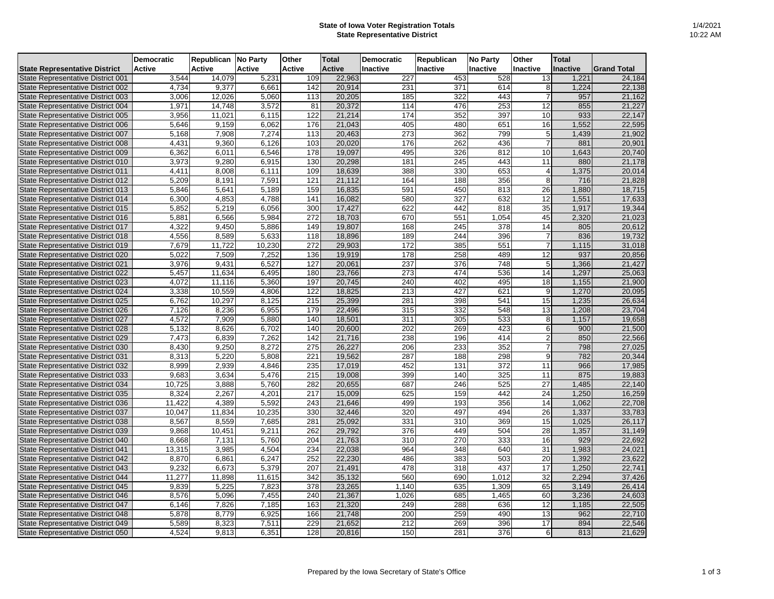## **State of Iowa Voter Registration Totals State Representative District**

|                                      | <b>Democratic</b> | <b>Republican</b> | No Party            | <b>Other</b>     | <b>Total</b>  | <b>Democratic</b> | Republican       | <b>No Party</b>  | <b>Other</b>    | <b>Total</b> |                    |
|--------------------------------------|-------------------|-------------------|---------------------|------------------|---------------|-------------------|------------------|------------------|-----------------|--------------|--------------------|
| <b>State Representative District</b> | <b>Active</b>     | <b>Active</b>     | <b>Active</b>       | <b>Active</b>    | <b>Active</b> | Inactive          | Inactive         | <b>Inactive</b>  | <b>Inactive</b> | Inactive     | <b>Grand Total</b> |
| State Representative District 001    | 3,544             | 14,079            | 5,231               | 109              | 22,963        | 227               | 453              | 528              | 13              | 1,221        | 24,184             |
| State Representative District 002    | 4,734             | 9,377             | 6,661               | 142              | 20,914        | 231               | 371              | 614              | 8 <sup>1</sup>  | 1,224        | 22,138             |
| State Representative District 003    | 3,006             | 12,026            | 5,060               | 113              | 20,205        | 185               | $\overline{322}$ | 443              | $\overline{7}$  | 957          | 21,162             |
| State Representative District 004    | 1,971             | 14,748            | 3,572               | 81               | 20,372        | 114               | 476              | 253              | 12              | 855          | 21,227             |
| State Representative District 005    | 3,956             | 11,021            | 6,115               | 122              | 21,214        | 174               | 352              | 397              | 10              | 933          | 22,147             |
| State Representative District 006    | 5,646             | 9,159             | 6,062               | 176              | 21,043        | 405               | 480              | 651              | 16              | 1,552        | 22,595             |
| State Representative District 007    | 5,168             | 7,908             | 7,274               | 113              | 20,463        | $\overline{273}$  | 362              | 799              | 5               | 1,439        | 21,902             |
| State Representative District 008    | 4,431             | 9,360             | 6,126               | 103              | 20,020        | 176               | 262              | 436              | $\overline{7}$  | 881          | 20,901             |
| State Representative District 009    | 6,362             | 6,011             | 6,546               | 178              | 19,097        | 495               | 326              | 812              | 10              | 1,643        | 20,740             |
| State Representative District 010    | 3,973             | 9,280             | 6,915               | 130              | 20,298        | 181               | 245              | 443              | 11              | 880          | 21,178             |
| State Representative District 011    | 4,411             | 8,008             | 6,111               | 109              | 18,639        | 388               | 330              | 653              |                 | 1,375        | 20,014             |
| State Representative District 012    | 5,209             | 8,191             | 7,591               | 121              | 21,112        | 164               | 188              | 356              | 8               | 716          | 21,828             |
| State Representative District 013    | 5,846             | 5,641             | 5,189               | 159              | 16,835        | 591               | 450              | 813              | 26              | 1,880        | 18,715             |
| State Representative District 014    | 6,300             | 4,853             | 4,788               | 141              | 16,082        | 580               | 327              | 632              | 12              | 1,551        | 17,633             |
| State Representative District 015    | 5,852             | 5,219             | 6,056               | 300              | 17,427        | 622               | 442              | 818              | 35              | 1,917        | 19,344             |
| State Representative District 016    | 5,881             | 6,566             | 5,984               | $\overline{272}$ | 18,703        | 670               | 551              | 1,054            | 45              | 2,320        | 21,023             |
| State Representative District 017    | 4,322             | 9,450             | 5,886               | 149              | 19,807        | 168               | 245              | 378              | 14              | 805          | 20,612             |
| State Representative District 018    | 4,556             | 8,589             | $\overline{5,633}$  | 118              | 18,896        | 189               | 244              | 396              | $\overline{7}$  | 836          | 19,732             |
| State Representative District 019    | 7,679             | 11,722            | 10,230              | 272              | 29,903        | 172               | 385              | 551              | $\overline{7}$  | 1,115        | 31,018             |
| State Representative District 020    | 5,022             | 7,509             | 7,252               | 136              | 19,919        | 178               | 258              | 489              | 12              | 937          | 20,856             |
| State Representative District 021    | 3,976             | 9,431             | 6,527               | 127              | 20,061        | 237               | 376              | 748              | 5               | 1,366        | 21,427             |
| State Representative District 022    | 5,457             | 11,634            | 6,495               | 180              | 23,766        | 273               | 474              | 536              | 14              | 1,297        | 25,063             |
| State Representative District 023    | 4,072             | 11,116            | 5,360               | 197              | 20,745        | 240               | 402              | 495              | 18              | 1,155        | 21,900             |
| State Representative District 024    | 3,338             | 10,559            | 4,806               | 122              | 18,825        | 213               | 427              | 621              | $9 \mid$        | 1,270        | 20,095             |
| State Representative District 025    | 6,762             | 10,297            | $\overline{8,125}$  | 215              | 25,399        | 281               | 398              | 541              | 15              | 1,235        | 26,634             |
| State Representative District 026    | 7,126             | 8,236             | 6,955               | 179              | 22,496        | 315               | 332              | 548              | 13              | 1,208        | 23,704             |
| State Representative District 027    | 4,572             | 7,909             | 5,880               | 140              | 18,501        | 311               | 305              | 533              | 8               | 1,157        | 19,658             |
| State Representative District 028    | 5,132             | 8,626             | 6,702               | 140              | 20,600        | 202               | 269              | 423              | 6               | 900          | 21,500             |
| State Representative District 029    | 7,473             | 6,839             | 7,262               | 142              | 21,716        | 238               | 196              | 414              | $\overline{2}$  | 850          | 22,566             |
| State Representative District 030    | 8,430             | 9,250             | 8,272               | 275              | 26,227        | 206               | 233              | 352              |                 | 798          | 27,025             |
| State Representative District 031    | 8,313             | 5,220             | 5,808               | $\overline{221}$ | 19,562        | 287               | 188              | 298              | 9               | 782          | 20,344             |
| State Representative District 032    | 8,999             | 2,939             | 4,846               | 235              | 17,019        | 452               | 131              | $\overline{372}$ | 11              | 966          | 17,985             |
| State Representative District 033    | 9,683             | 3,634             | 5,476               | 215              | 19,008        | 399               | 140              | 325              | 11              | 875          | 19,883             |
| State Representative District 034    | 10,725            | 3,888             | 5,760               | 282              | 20,655        | 687               | 246              | 525              | 27              | 1,485        | 22,140             |
| State Representative District 035    | 8,324             | 2,267             | 4,201               | 217              | 15,009        | 625               | 159              | 442              | 24              | 1,250        | 16,259             |
| State Representative District 036    | 11,422            | 4,389             | 5,592               | 243              | 21,646        | 499               | 193              | 356              | 14              | 1,062        | 22,708             |
| State Representative District 037    | 10,047            | 11,834            | $\overline{10,235}$ | 330              | 32,446        | 320               | 497              | 494              | 26              | 1,337        | 33,783             |
| State Representative District 038    | 8,567             | 8,559             | 7,685               | 281              | 25,092        | 331               | 310              | 369              | 15              | 1,025        | 26,117             |
| State Representative District 039    | 9,868             | 10,451            | 9,211               | 262              | 29,792        | 376               | 449              | 504              | 28              | 1,357        | 31,149             |
| State Representative District 040    | 8,668             | 7,131             | 5,760               | 204              | 21,763        | 310               | 270              | 333              | 16              | 929          | 22,692             |
| State Representative District 041    | 13,315            | 3,985             | 4,504               | 234              | 22,038        | 964               | 348              | 640              | 31              | 1,983        | 24,021             |
| State Representative District 042    | 8,870             | 6,861             | 6,247               | 252              | 22,230        | 486               | 383              | 503              | 20              | 1,392        | 23,622             |
| State Representative District 043    | 9,232             | 6,673             | 5,379               | 207              | 21,491        | 478               | 318              | 437              | 17              | 1,250        | 22,741             |
| State Representative District 044    | 11,277            | 11,898            | 11,615              | 342              | 35,132        | 560               | 690              | 1,012            | 32              | 2,294        | 37,426             |
| State Representative District 045    | 9,839             | 5,225             | 7,823               | 378              | 23,265        | 1,140             | 635              | 1,309            | 65              | 3,149        | 26,414             |
| State Representative District 046    | 8,576             | 5,096             | 7,455               | 240              | 21,367        | 1,026             | 685              | 1,465            | 60              | 3,236        | 24,603             |
| State Representative District 047    | 6,146             | 7,826             | 7,185               | 163              | 21,320        | 249               | 288              | 636              | 12              | 1,185        | 22,505             |
| State Representative District 048    | 5,878             | 8,779             | 6,925               | 166              | 21,748        | 200               | 259              | 490              | 13              | 962          | 22,710             |
| State Representative District 049    | 5,589             | 8,323             | 7,511               | 229              | 21,652        | 212               | 269              | 396              | 17              | 894          | 22,546             |
| State Representative District 050    | 4,524             | 9,813             | 6,351               | 128              | 20,816        | 150               | 281              | 376              | 6 <sup>1</sup>  | 813          | 21,629             |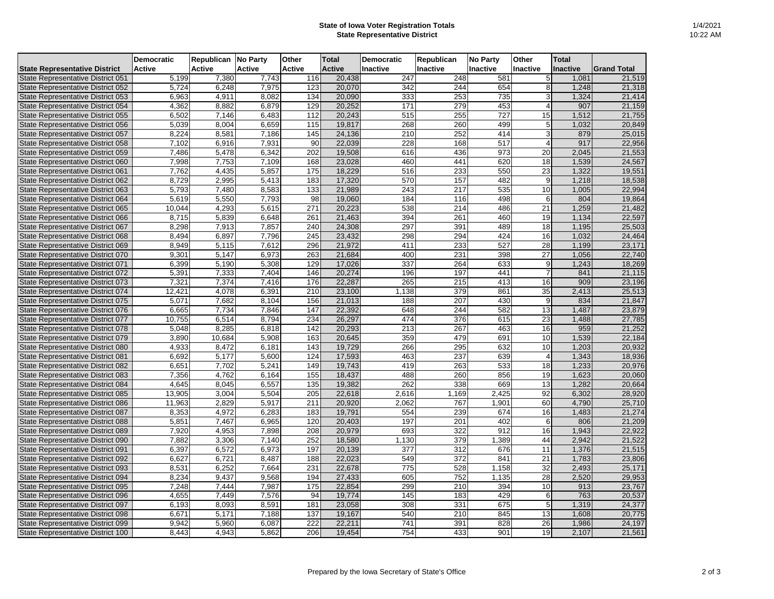## **State of Iowa Voter Registration Totals State Representative District**

|                                      | <b>Democratic</b> | <b>Republican No Party</b> |               | <b>Other</b>     | <b>Total</b>  | <b>Democratic</b> | <b>Republican</b> | <b>No Party</b> | <b>Other</b>     | <b>Total</b>    |                    |
|--------------------------------------|-------------------|----------------------------|---------------|------------------|---------------|-------------------|-------------------|-----------------|------------------|-----------------|--------------------|
| <b>State Representative District</b> | <b>Active</b>     | <b>Active</b>              | <b>Active</b> | <b>Active</b>    | <b>Active</b> | <b>Inactive</b>   | <b>Inactive</b>   | <b>Inactive</b> | Inactive         | <b>Inactive</b> | <b>Grand Total</b> |
| State Representative District 051    | 5,199             | 7,380                      | 7,743         | 116              | 20,438        | 247               | 248               | 581             |                  | 1,081           | 21,519             |
| State Representative District 052    | 5,724             | 6,248                      | 7,975         | 123              | 20,070        | 342               | 244               | 654             |                  | 1,248           | 21,318             |
| State Representative District 053    | 6,963             | 4,911                      | 8,082         | 134              | 20,090        | 333               | 253               | 735             |                  | 1,324           | 21,414             |
| State Representative District 054    | 4,362             | 8,882                      | 6,879         | 129              | 20,252        | 171               | 279               | 453             |                  | 907             | 21,159             |
| State Representative District 055    | 6,502             | 7,146                      | 6,483         | 112              | 20,243        | 515               | 255               | 727             | 15               | ,512            | 21,755             |
| State Representative District 056    | 5,039             | 8,004                      | 6,659         | 115              | 19,817        | 268               | 260               | 499             |                  | ,032            | 20,849             |
| State Representative District 057    | 8,224             | 8,581                      | 7,186         | 145              | 24,136        | 210               | 252               | 414             |                  | 879             | 25,015             |
| State Representative District 058    | 7,102             | 6,916                      | 7,931         | 90               | 22,039        | 228               | 168               | 517             |                  | 917             | 22,956             |
| State Representative District 059    | 7,486             | 5,478                      | 6,342         | $\overline{202}$ | 19,508        | 616               | 436               | 973             | 20               | 2,045           | 21,553             |
| State Representative District 060    | 7,998             | 7,753                      | 7,109         | 168              | 23,028        | 460               | 441               | 620             | 18               | 1,539           | 24,567             |
| State Representative District 061    | 7,762             | 4,435                      | 5,857         | 175              | 18,229        | 516               | 233               | 550             | 23               | 1,322           | 19,551             |
| State Representative District 062    | 8,729             | 2,995                      | 5,413         | 183              | 17,320        | 570               | 157               | 482             | 9                | 1,218           | 18,538             |
| State Representative District 063    | 5,793             | 7,480                      | 8,583         | 133              | 21,989        | 243               | 217               | 535             | 10               | 1,005           | 22,994             |
| State Representative District 064    | 5,619             | 5,550                      | 7,793         | 98               | 19,060        | 184               | 116               | 498             | 6                | 804             | 19,864             |
| State Representative District 065    | 10,044            | 4,293                      | 5,615         | 271              | 20,223        | 538               | 214               | 486             | 21               | 1,259           | 21,482             |
| State Representative District 066    | 8,715             | 5,839                      | 6,648         | 261              | 21,463        | 394               | 261               | 460             | 19               | 1,134           | 22,597             |
| State Representative District 067    | 8,298             | 7,913                      | 7,857         | 240              | 24,308        | 297               | 391               | 489             | 18               | 1,195           | 25,503             |
| State Representative District 068    | 8,494             | 6,897                      | 7,796         | 245              | 23,432        | 298               | 294               | 424             | 16               | 1,032           | 24,464             |
| State Representative District 069    | 8,949             | 5,115                      | 7,612         | 296              | 21,972        | 411               | 233               | 527             | 28               | 1,199           | 23,171             |
| State Representative District 070    | 9,301             | 5,147                      | 6,973         | 263              | 21,684        | 400               | 231               | 398             | 27               | 1,056           | 22,740             |
| State Representative District 071    | 6,399             | 5,190                      | 5,308         | 129              | 17,026        | 337               | 264               | 633             | 9                | 1,243           | 18,269             |
| State Representative District 072    | 5,391             | 7,333                      | 7,404         | 146              | 20,274        | 196               | 197               | 441             |                  | 841             | 21,115             |
| State Representative District 073    | 7,321             | 7,374                      | 7,416         | 176              | 22,287        | 265               | 215               | 413             | 16               | 909             | 23,196             |
| State Representative District 074    | 12,421            | 4,078                      | 6,391         | 210              | 23,100        | 1,138             | 379               | 861             | 35               | 2,413           | 25,513             |
| State Representative District 075    | 5,071             | 7,682                      | 8,104         | 156              | 21,013        | 188               | 207               | 430             | 9                | 834             | 21,847             |
| State Representative District 076    | 6,665             | 7,734                      | 7,846         | 147              | 22,392        | 648               | 244               | 582             | 13               | 1,487           | 23,879             |
| State Representative District 077    | 10,755            | 6,514                      | 8,794         | 234              | 26,297        | 474               | 376               | 615             | 23               | 1,488           | 27,785             |
| State Representative District 078    | 5,048             | 8,285                      | 6,818         | 142              | 20,293        | $\overline{213}$  | 267               | 463             | 16               | 959             | 21,252             |
| State Representative District 079    | 3,890             | 10,684                     | 5,908         | 163              | 20,645        | 359               | 479               | 691             | 10               | 1,539           | 22,184             |
| State Representative District 080    | 4,933             | 8,472                      | 6,181         | 143              | 19,729        | 266               | 295               | 632             | 10               | ,203            | 20,932             |
| State Representative District 081    | 6,692             | 5,177                      | 5,600         | 124              | 17,593        | 463               | 237               | 639             |                  | ,343            | 18,936             |
| State Representative District 082    | 6,651             | 7,702                      | 5,241         | 149              | 19,743        | 419               | 263               | 533             | 18               | ,233            | 20,976             |
| State Representative District 083    | 7,356             | 4,762                      | 6,164         | 155              | 18,437        | 488               | 260               | 856             | 19               | ,623            | 20,060             |
| State Representative District 084    | 4,645             | 8,045                      | 6,557         | $135$            | 19,382        | 262               | 338               | 669<br>$\sim$   | 13<br><u>. J</u> | 1,282           | 20,664             |
| State Representative District 085    | 13,905            | 3,004                      | 5,504         | 205              | 22,618        | 2,616             | 1,169             | 2,425           | $\overline{92}$  | 6,302           | 28,920             |
| State Representative District 086    | 11,963            | 2,829                      | 5,917         | 211              | 20,920        | 2,062             | 767               | ,901            | 60               | 4,790           | 25,710             |
| State Representative District 087    | 8,353             | 4,972                      | 6,283         | 183              | 19,791        | 554               | 239               | 674             | 16               | 1,483           | 21,274             |
| State Representative District 088    | 5,851             | 7,467                      | 6,965         | 120              | 20,403        | 197               | 201               | 402             | $6 \mid$         | 806             | 21,209             |
| State Representative District 089    | 7,920             | 4,953                      | 7,898         | 208              | 20,979        | 693               | 322               | 912             | 16               | 1,943           | 22,922             |
| State Representative District 090    | 7,882             | 3,306                      | 7,140         | 252              | 18,580        | 1,130             | 379               | 1,389           | 44               | 2,942           | 21,522             |
| State Representative District 091    | 6,397             | 6,572                      | 6,973         | 197              | 20,139        | 377               | 312               | 676             | 11               | 1,376           | 21,515             |
| State Representative District 092    | 6,627             | 6,721                      | 8,487         | 188              | 22,023        | 549               | 372               | 841             | 21               | 1,783           | 23,806             |
| State Representative District 093    | 8,531             | 6,252                      | 7,664         | 231              | 22,678        | 775               | 528               | 1,158           | 32               | 2,493           | 25,171             |
| State Representative District 094    | 8,234             | 9,437                      | 9,568         | 194              | 27,433        | 605               | 752               | 1,135           | 28               | 2,520           | 29,953             |
| State Representative District 095    | 7,248             | 7,444                      | 7,987         | 175              | 22,854        | 299               | 210               | 394             | 10               | 913             | 23,767             |
| State Representative District 096    | 4,655             | 7,449                      | 7,576         | 94               | 19,774        | 145               | 183               | 429             | 6                | 763             | 20,537             |
| State Representative District 097    | 6,193             | 8,093                      | 8,591         | 181              | 23,058        | 308               | 331               | 675             |                  | 1,319           | 24,377             |
| State Representative District 098    | 6,671             | 5,171                      | 7,188         | 137              | 19,167        | 540               | 210               | 845             | 13               | 1,608           | 20,775             |
| State Representative District 099    | 9,942             | 5,960                      | 6,087         | 222              | 22,211        | 741               | 391               | 828             | 26               | 1,986           | 24,197             |
| State Representative District 100    | 8,443             | 4,943                      | 5,862         | 206              | 19,454        | 754               | 433               | 901             | 19               | 2,107           | 21,561             |